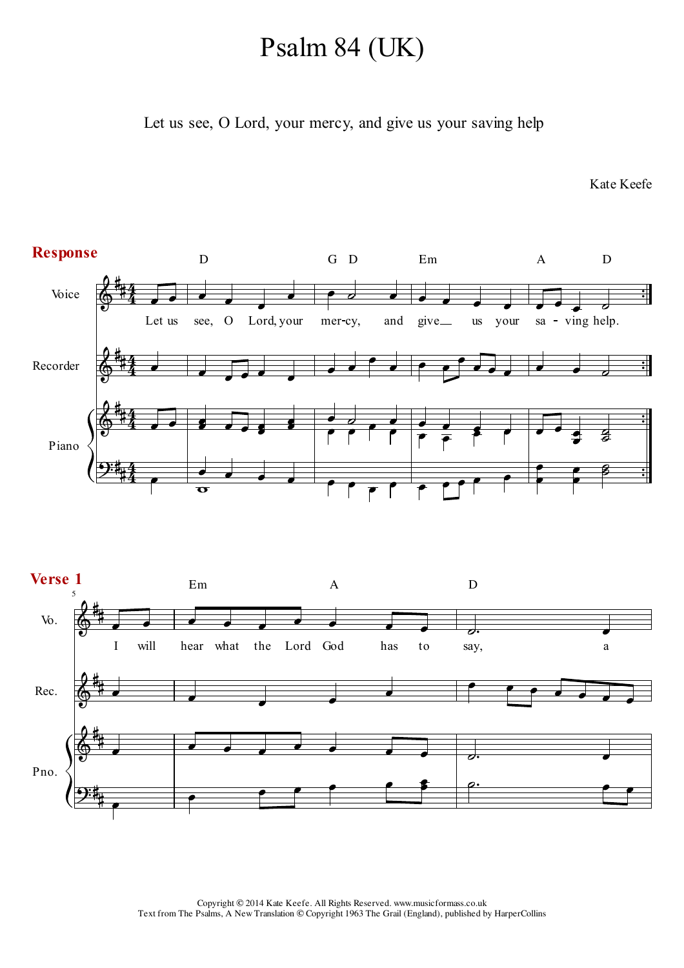## Psalm 84 (UK)

Let us see, O Lord, your mercy, and give us your saving help

Kate Keefe

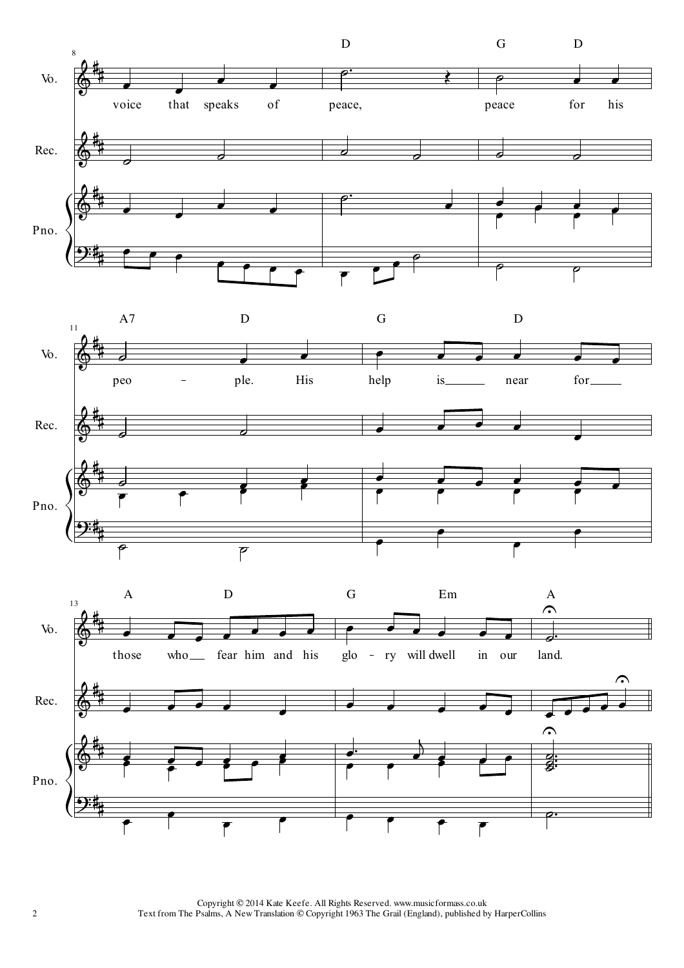





Copyright © 2014 Kate Keefe. All Rights Reserved. www.musicformass.co.uk Text from The Psalms, A New Translation © Copyright 1963 The Grail (England), published by HarperCollins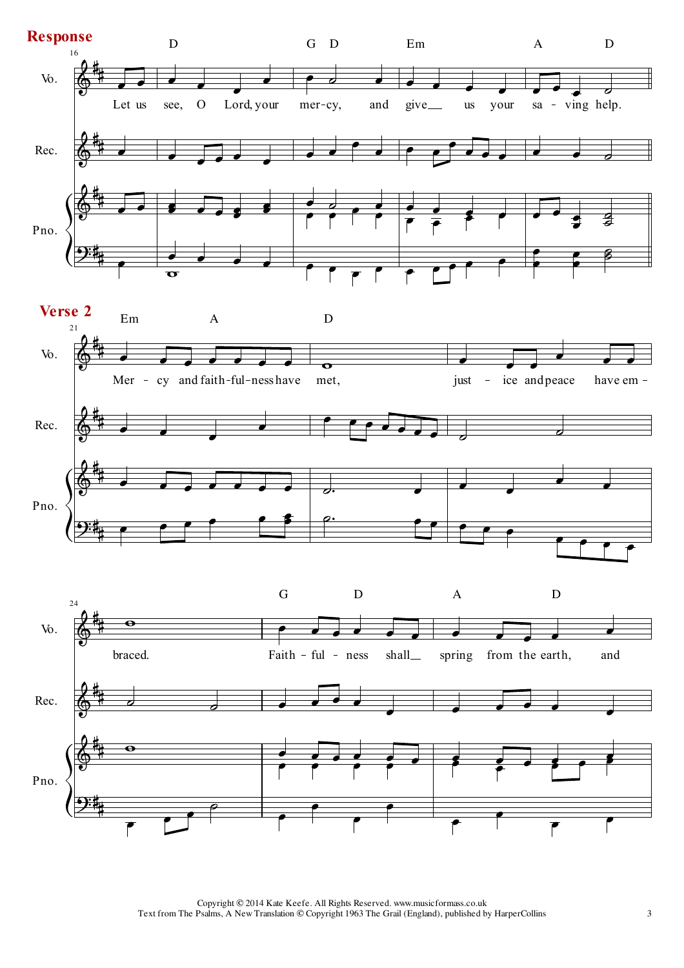

Copyright © 2014 Kate Keefe. All Rights Reserved. www.musicformass.co.uk Text from The Psalms, A New Translation © Copyright 1963 The Grail (England), published by HarperCollins 3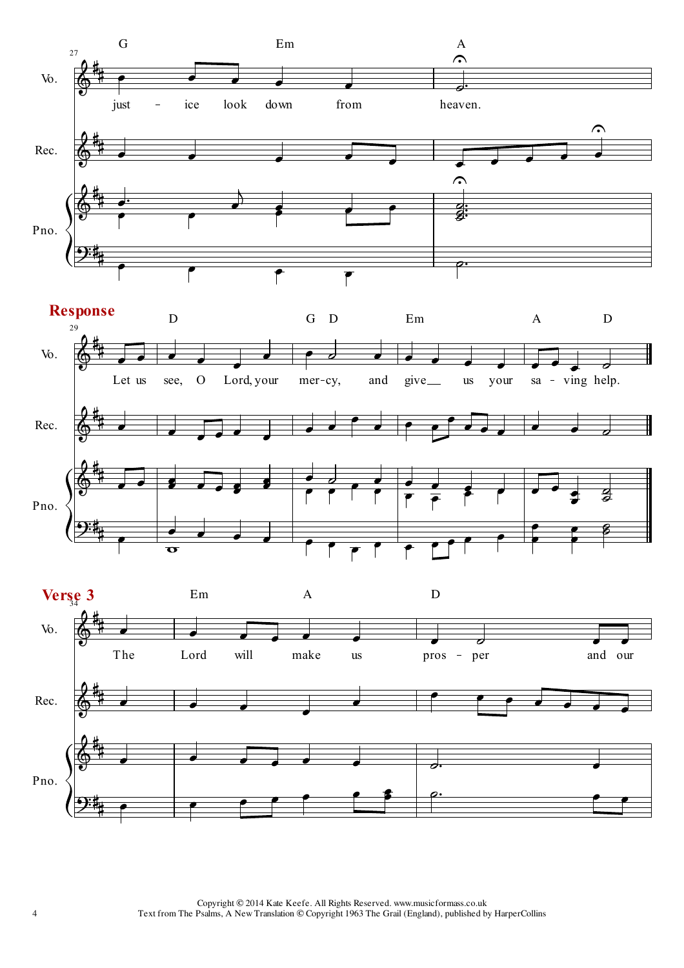





Copyright © 2014 Kate Keefe. All Rights Reserved. www.musicformass.co.uk Text from The Psalms, A New Translation © Copyright 1963 The Grail (England), published by HarperCollins